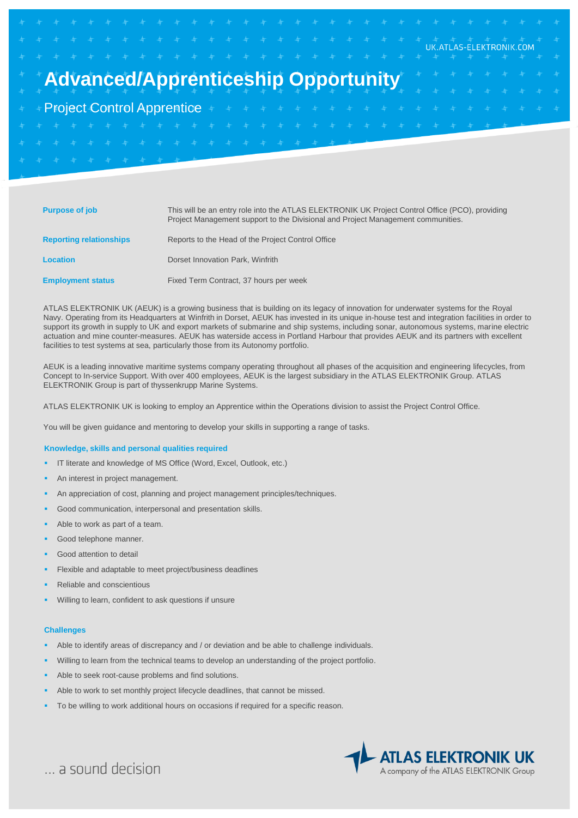|  | $\frac{1}{2}$ $\frac{1}{2}$ $\frac{1}{2}$ $\frac{1}{2}$ $\frac{1}{2}$ $\frac{1}{2}$ $\frac{1}{2}$ $\frac{1}{2}$ $\frac{1}{2}$ $\frac{1}{2}$ $\frac{1}{2}$ $\frac{1}{2}$ $\frac{1}{2}$ $\frac{1}{2}$ $\frac{1}{2}$ $\frac{1}{2}$ $\frac{1}{2}$ $\frac{1}{2}$ $\frac{1}{2}$ $\frac{1}{2}$ $\frac{1}{2}$ $\frac{1}{2}$ |  |  |  |  |  |  |  |  |  |  |  |  |                     |  |  |
|--|---------------------------------------------------------------------------------------------------------------------------------------------------------------------------------------------------------------------------------------------------------------------------------------------------------------------|--|--|--|--|--|--|--|--|--|--|--|--|---------------------|--|--|
|  |                                                                                                                                                                                                                                                                                                                     |  |  |  |  |  |  |  |  |  |  |  |  |                     |  |  |
|  | <b>Advanced/Apprenticeship Opportunity</b>                                                                                                                                                                                                                                                                          |  |  |  |  |  |  |  |  |  |  |  |  | * * * * * * * * *   |  |  |
|  |                                                                                                                                                                                                                                                                                                                     |  |  |  |  |  |  |  |  |  |  |  |  | + + + + + + + + + + |  |  |
|  |                                                                                                                                                                                                                                                                                                                     |  |  |  |  |  |  |  |  |  |  |  |  |                     |  |  |
|  |                                                                                                                                                                                                                                                                                                                     |  |  |  |  |  |  |  |  |  |  |  |  |                     |  |  |
|  |                                                                                                                                                                                                                                                                                                                     |  |  |  |  |  |  |  |  |  |  |  |  |                     |  |  |
|  | * * * * * * * * * * *                                                                                                                                                                                                                                                                                               |  |  |  |  |  |  |  |  |  |  |  |  |                     |  |  |
|  |                                                                                                                                                                                                                                                                                                                     |  |  |  |  |  |  |  |  |  |  |  |  |                     |  |  |

| <b>Purpose of job</b>          | This will be an entry role into the ATLAS ELEKTRONIK UK Project Control Office (PCO), providing<br>Project Management support to the Divisional and Project Management communities. |
|--------------------------------|-------------------------------------------------------------------------------------------------------------------------------------------------------------------------------------|
| <b>Reporting relationships</b> | Reports to the Head of the Project Control Office                                                                                                                                   |
| Location                       | Dorset Innovation Park, Winfrith                                                                                                                                                    |
| <b>Employment status</b>       | Fixed Term Contract, 37 hours per week                                                                                                                                              |

ATLAS ELEKTRONIK UK (AEUK) is a growing business that is building on its legacy of innovation for underwater systems for the Royal Navy. Operating from its Headquarters at Winfrith in Dorset, AEUK has invested in its unique in-house test and integration facilities in order to support its growth in supply to UK and export markets of submarine and ship systems, including sonar, autonomous systems, marine electric actuation and mine counter-measures. AEUK has waterside access in Portland Harbour that provides AEUK and its partners with excellent facilities to test systems at sea, particularly those from its Autonomy portfolio.

AEUK is a leading innovative maritime systems company operating throughout all phases of the acquisition and engineering lifecycles, from Concept to In-service Support. With over 400 employees, AEUK is the largest subsidiary in the ATLAS ELEKTRONIK Group. ATLAS ELEKTRONIK Group is part of thyssenkrupp Marine Systems.

ATLAS ELEKTRONIK UK is looking to employ an Apprentice within the Operations division to assist the Project Control Office.

You will be given guidance and mentoring to develop your skills in supporting a range of tasks.

### **Knowledge, skills and personal qualities required**

- IT literate and knowledge of MS Office (Word, Excel, Outlook, etc.)
- An interest in project management.
- An appreciation of cost, planning and project management principles/techniques.
- Good communication, interpersonal and presentation skills.
- Able to work as part of a team.
- Good telephone manner.
- Good attention to detail
- Flexible and adaptable to meet project/business deadlines
- Reliable and conscientious
- Willing to learn, confident to ask questions if unsure

#### **Challenges**

- Able to identify areas of discrepancy and / or deviation and be able to challenge individuals.
- Willing to learn from the technical teams to develop an understanding of the project portfolio.
- Able to seek root-cause problems and find solutions.
- Able to work to set monthly project lifecycle deadlines, that cannot be missed.
- To be willing to work additional hours on occasions if required for a specific reason.



... a sound decision